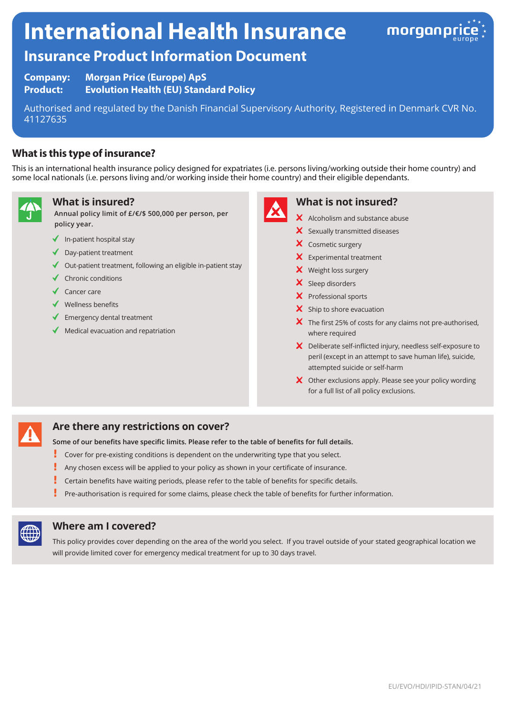# **International Health Insurance**



# **Insurance Product Information Document**

**Company: Morgan Price (Europe) ApS Product: Evolution Health (EU) Standard Policy**

Authorised and regulated by the Danish Financial Supervisory Authority, Registered in Denmark CVR No. 41127635

# **What is this type of insurance?**

This is an international health insurance policy designed for expatriates (i.e. persons living/working outside their home country) and some local nationals (i.e. persons living and/or working inside their home country) and their eligible dependants.



# **What is insured?**

**Annual policy limit of £/€/\$ 500,000 per person, per policy year.**

- $\blacklozenge$  In-patient hospital stay
- $\triangleleft$  Day-patient treatment
- $\triangleleft$  Out-patient treatment, following an eligible in-patient stay
- $\checkmark$  Chronic conditions
- $\checkmark$  Cancer care
- $\checkmark$  Wellness benefits
- $\blacklozenge$  Emergency dental treatment
- Medical evacuation and repatriation



# **What is not insured?**

- $\boldsymbol{\times}$  Alcoholism and substance abuse
- $\boldsymbol{\times}$  Sexually transmitted diseases
- X Cosmetic surgery
- $\mathsf{\times}$  Experimental treatment
- X Weight loss surgery
- X Sleep disorders
- X Professional sports
- $\times$  Ship to shore evacuation
- $\boldsymbol{\times}$  The first 25% of costs for any claims not pre-authorised, where required
- X Deliberate self-inflicted injury, needless self-exposure to peril (except in an attempt to save human life), suicide, attempted suicide or self-harm
- X Other exclusions apply. Please see your policy wording for a full list of all policy exclusions.

# **Are there any restrictions on cover?**

**Some of our benefits have specific limits. Please refer to the table of benefits for full details.**

- Ţ Cover for pre-existing conditions is dependent on the underwriting type that you select.
- ı Any chosen excess will be applied to your policy as shown in your certificate of insurance.
- Certain benefits have waiting periods, please refer to the table of benefits for specific details.
- Pre-authorisation is required for some claims, please check the table of benefits for further information.



#### **Where am I covered?**

This policy provides cover depending on the area of the world you select. If you travel outside of your stated geographical location we will provide limited cover for emergency medical treatment for up to 30 days travel.